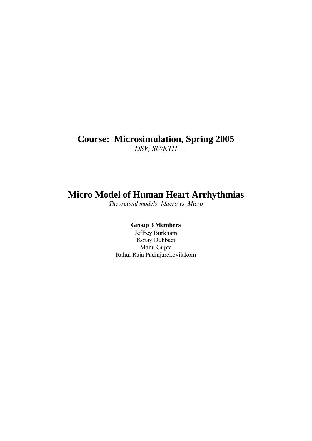## **Course: Microsimulation, Spring 2005**  *DSV, SU/KTH*

# **Micro Model of Human Heart Arrhythmias**

*Theoretical models: Macro vs. Micro* 

## **Group 3 Members**

Jeffrey Burkham Koray Duhbaci Manu Gupta Rahul Raja Padinjarekovilakom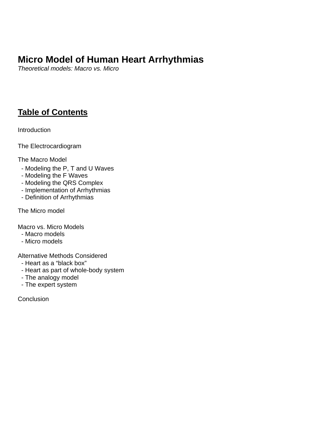# **Micro Model of Human Heart Arrhythmias**

*Theoretical models: Macro vs. Micro* 

# **Table of Contents**

**Introduction** 

The Electrocardiogram

The Macro Model

- Modeling the P, T and U Waves
- Modeling the F Waves
- Modeling the QRS Complex
- Implementation of Arrhythmias
- Definition of Arrhythmias

The Micro model

Macro vs. Micro Models

- Macro models
- Micro models

Alternative Methods Considered

- Heart as a "black box"
- Heart as part of whole-body system
- The analogy model
- The expert system

**Conclusion**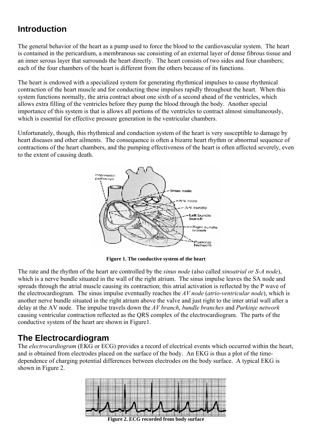# **Introduction**

The general behavior of the heart as a pump used to force the blood to the cardiovascular system. The heart is contained in the pericardium, a membranous sac consisting of an external layer of dense fibrous tissue and an inner serous layer that surrounds the heart directly. The heart consists of two sides and four chambers; each of the four chambers of the heart is different from the others because of its functions.

The heart is endowed with a specialized system for generating rhythmical impulses to cause rhythmical contraction of the heart muscle and for conducting these impulses rapidly throughout the heart. When this system functions normally, the atria contract about one sixth of a second ahead of the ventricles, which allows extra filling of the ventricles before they pump the blood through the body. Another special importance of this system is that is allows all portions of the ventricles to contract almost simultaneously, which is essential for effective pressure generation in the ventricular chambers.

Unfortunately, though, this rhythmical and conduction system of the heart is very susceptible to damage by heart diseases and other ailments. The consequence is often a bizarre heart rhythm or abnormal sequence of contractions of the heart chambers, and the pumping effectiveness of the heart is often affected severely, even to the extent of causing death.



**Figure 1. The conductive system of the heart** 

The rate and the rhythm of the heart are controlled by the *sinus node* (also called *sinoatrial or S-A node*), which is a nerve bundle situated in the wall of the right atrium. The sinus impulse leaves the SA node and spreads through the atrial muscle causing its contraction; this atrial activation is reflected by the P wave of the electrocardiogram. The sinus impulse eventually reaches the *AV node* (*atrio-ventricular node*), which is another nerve bundle situated in the right atrium above the valve and just right to the inter atrial wall after a delay at the AV node. The impulse travels down the *AV branch*, *bundle branches* and *Purkinje network*  causing ventricular contraction reflected as the QRS complex of the electrocardiogram. The parts of the conductive system of the heart are shown in Figure1.

## **The Electrocardiogram**

The *electrocardiogram* (EKG or ECG) provides a record of electrical events which occurred within the heart, and is obtained from electrodes placed on the surface of the body. An EKG is thus a plot of the timedependence of charging potential differences between electrodes on the body surface. A typical EKG is shown in Figure 2.



**Figure 2. ECG recorded from body surface**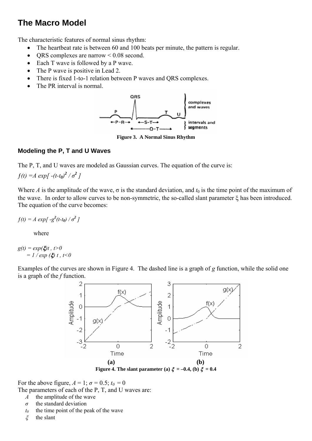## **The Macro Model**

The characteristic features of normal sinus rhythm:

- The heartbeat rate is between 60 and 100 beats per minute, the pattern is regular.
- ORS complexes are narrow  $\leq 0.08$  second.
- Each T wave is followed by a P wave.
- The P wave is positive in Lead 2.
- There is fixed 1-to-1 relation between P waves and QRS complexes.
- The PR interval is normal.



**Figure 3. A Normal Sinus Rhythm** 

## **Modeling the P, T and U Waves**

The P, T, and U waves are modeled as Gaussian curves. The equation of the curve is:

 $f(t) = A \exp[-(t-t_0)^2 / \sigma^2]$ 

Where *A* is the amplitude of the wave,  $\sigma$  is the standard deviation, and  $t_0$  is the time point of the maximum of the wave. In order to allow curves to be non-symmetric, the so-called slant parameter ξ has been introduced. The equation of the curve becomes:

 $f(t) = A \exp[-g^2(t-t_0)/\sigma^2]$ 

where

 $g(t) = exp(\xi)t$ ,  $t>0$  $= 1 / exp(\xi) t$ ,  $t < 0$ 

Examples of the curves are shown in Figure 4. The dashed line is a graph of *g* function, while the solid one is a graph of the *f* function.



For the above figure,  $A = 1$ ;  $\sigma = 0.5$ ;  $t_0 = 0$ 

The parameters of each of the P, T, and U waves are:

- *A* the amplitude of the wave
- *σ* the standard deviation
- $t_0$  the time point of the peak of the wave
- ξ the slant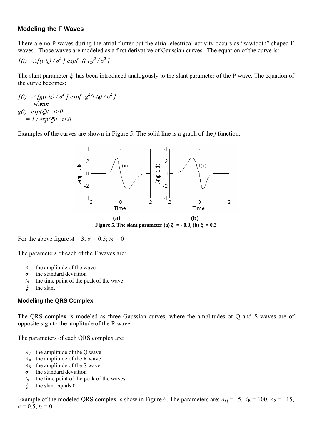## **Modeling the F Waves**

There are no P waves during the atrial flutter but the atrial electrical activity occurs as "sawtooth" shaped F waves. Those waves are modeled as a first derivative of Gaussian curves. The equation of the curve is:

$$
f(t) = -A[(t-t_0) / \sigma^2] exp[-(t-t_0)^2 / \sigma^2]
$$

The slant parameter  $\xi$  has been introduced analogously to the slant parameter of the P wave. The equation of the curve becomes:

 $f(t) = -A[g(t-t_0)/\sigma^2] \exp[-g^2(t-t_0)/\sigma^2]$  where *g(t)=exp(*ξ*)t , t>0*  $= 1 / exp(\xi)t$ ,  $t < 0$ 

Examples of the curves are shown in Figure 5. The solid line is a graph of the *f* function.



For the above figure  $A = 3$ ;  $\sigma = 0.5$ ;  $t_0 = 0$ 

The parameters of each of the F waves are:

- *A* the amplitude of the wave
- *σ* the standard deviation
- $t_0$  the time point of the peak of the wave
- ξ the slant

### **Modeling the QRS Complex**

The QRS complex is modeled as three Gaussian curves, where the amplitudes of Q and S waves are of opposite sign to the amplitude of the R wave.

The parameters of each QRS complex are:

- $A<sub>Q</sub>$  the amplitude of the Q wave
- $A_R$  the amplitude of the R wave
- $A<sub>S</sub>$  the amplitude of the S wave
- *σ* the standard deviation
- $t_0$  the time point of the peak of the waves
- $\xi$  the slant equals 0

Example of the modeled QRS complex is show in Figure 6. The parameters are:  $A<sub>Q</sub> = -5$ ,  $A<sub>R</sub> = 100$ ,  $A<sub>S</sub> = -15$ ,  $\sigma = 0.5$ ,  $t_0 = 0$ .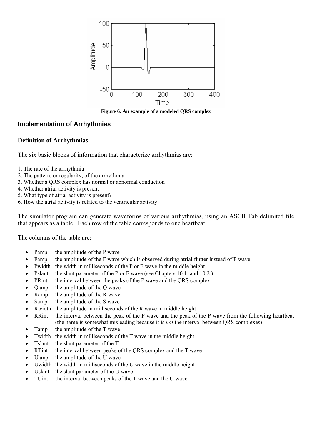

**Figure 6. An example of a modeled QRS complex** 

#### **Implementation of Arrhythmias**

#### **Definition of Arrhythmias**

The six basic blocks of information that characterize arrhythmias are:

- 1. The rate of the arrhythmia
- 2. The pattern, or regularity, of the arrhythmia
- 3. Whether a QRS complex has normal or abnormal conduction
- 4. Whether atrial activity is present
- 5. What type of atrial activity is present?
- 6. How the atrial activity is related to the ventricular activity.

The simulator program can generate waveforms of various arrhythmias, using an ASCII Tab delimited file that appears as a table. Each row of the table corresponds to one heartbeat.

The columns of the table are:

- Pamp the amplitude of the P wave
- Famp the amplitude of the F wave which is observed during atrial flutter instead of P wave
- Pwidth the width in milliseconds of the P or F wave in the middle height
- Pslant the slant parameter of the P or F wave (see Chapters 10.1. and 10.2.)
- PRint the interval between the peaks of the P wave and the ORS complex
- Qamp the amplitude of the Q wave
- Ramp the amplitude of the R wave
- Samp the amplitude of the S wave
- Rwidth the amplitude in milliseconds of the R wave in middle height
- RRint the interval between the peak of the P wave and the peak of the P wave from the following heartbeat (the name is somewhat misleading because it is *not* the interval between QRS complexes)
- Tamp the amplitude of the T wave
- Twidth the width in milliseconds of the T wave in the middle height
- Tslant the slant parameter of the T
- RTint the interval between peaks of the QRS complex and the T wave
- Uamp the amplitude of the U wave
- Uwidth the width in milliseconds of the U wave in the middle height
- Uslant the slant parameter of the U wave
- TUint the interval between peaks of the T wave and the U wave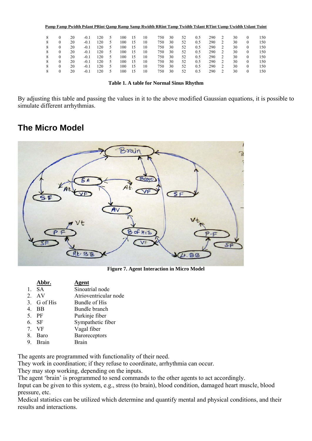|   |   |    |        |     |    |     |    | Pamp Famp Pwidth Pslant PRint Oamp Ramp Samp Rwidth RRint Tamp Twidth Tslant RTint Uamp Uwidth Uslant Tuint |     |    |    |     |     |   |    |          |     |
|---|---|----|--------|-----|----|-----|----|-------------------------------------------------------------------------------------------------------------|-----|----|----|-----|-----|---|----|----------|-----|
|   |   |    |        |     |    |     |    |                                                                                                             |     |    |    |     |     |   |    |          |     |
| 8 | 0 | 20 | $-0.1$ | 120 | 5  | 100 | .5 | 10                                                                                                          | 750 | 30 | 52 | 0.5 | 290 |   | 30 | $\Omega$ | 150 |
| 8 | 0 | 20 | $-0.1$ | 120 | C. | 100 | .5 | 10                                                                                                          | 750 | 30 | 52 | 0.5 | 290 |   | 30 | $\theta$ | 50  |
| 8 |   | 20 | $-0.1$ | 120 |    | 100 | .5 | 10                                                                                                          | 750 | 30 | 52 | 0.5 | 290 | 2 | 30 | $\theta$ | 150 |
| 8 | 0 | 20 | $-0.1$ | 120 | ጎ  | 100 | .5 | 10                                                                                                          | 750 | 30 | 52 | 0.5 | 290 |   | 30 | $\theta$ | 50  |
| 8 |   | 20 | $-0.1$ | 120 | 5  | 100 | .5 | 10                                                                                                          | 750 | 30 | 52 | 0.5 | 290 |   | 30 | $\theta$ | 150 |
| 8 | 0 | 20 | $-0.1$ | 120 | ጎ  | 100 | .5 | 10                                                                                                          | 750 | 30 | 52 | 0.5 | 290 |   | 30 | $\theta$ | 150 |
| 8 |   | 20 | $-0.1$ | 120 |    | 100 | .5 | 10                                                                                                          | 750 | 30 | 52 | 0.5 | 290 |   | 30 | $\theta$ | 150 |
|   | 0 | 20 | $-0.1$ | 120 |    | 100 | .5 | 10                                                                                                          | 750 | 30 | 52 | 0.5 | 290 |   | 30 | $\Omega$ | 150 |
|   |   |    |        |     |    |     |    |                                                                                                             |     |    |    |     |     |   |    |          |     |

By adjusting this table and passing the values in it to the above modified Gaussian equations, it is possible to simulate different arrhythmias.

## **The Micro Model**



**Figure 7. Agent Interaction in Micro Model** 

|    | Abbr.       | Agent                 |
|----|-------------|-----------------------|
| 1. | - SA        | Sinoatrial node       |
|    | 2. AV       | Atrioventricular node |
|    | 3. G of His | Bundle of His         |
| 4. | <b>BB</b>   | Bundle branch         |
|    | 5. PF       | Purkinje fiber        |
|    | 6. SF       | Sympathetic fiber     |
| 7. | – VF        | Vagal fiber           |
| 8. | <b>Baro</b> | <b>Baroreceptors</b>  |
|    | 9. Brain    | <b>Rrain</b>          |

The agents are programmed with functionality of their need.

They work in coordination; if they refuse to coordinate, arrhythmia can occur.

They may stop working, depending on the inputs.

The agent 'brain' is programmed to send commands to the other agents to act accordingly.

Input can be given to this system, e.g., stress (to brain), blood condition, damaged heart muscle, blood pressure, etc.

Medical statistics can be utilized which determine and quantify mental and physical conditions, and their results and interactions.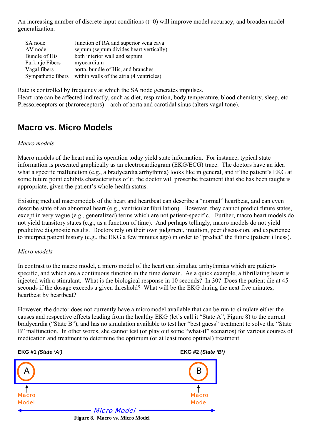An increasing number of discrete input conditions  $(t=0)$  will improve model accuracy, and broaden model generalization.

| SA node            | Junction of RA and superior vena cava    |
|--------------------|------------------------------------------|
| AV node            | septum (septum divides heart vertically) |
| Bundle of His      | both interior wall and septum            |
| Purkinje Fibers    | myocardium                               |
| Vagal fibers       | aorta, bundle of His, and branches       |
| Sympathetic fibers | within walls of the atria (4 ventricles) |

Rate is controlled by frequency at which the SA node generates impulses. Heart rate can be affected indirectly, such as diet, respiration, body temperature, blood chemistry, sleep, etc. Pressoreceptors or (baroreceptors) – arch of aorta and carotidal sinus (alters vagal tone).

## **Macro vs. Micro Models**

### *Macro models*

Macro models of the heart and its operation today yield state information. For instance, typical state information is presented graphically as an electrocardiogram (EKG/ECG) trace. The doctors have an idea what a specific malfunction (e.g., a bradycardia arrhythmia) looks like in general, and if the patient's EKG at some future point exhibits characteristics of it, the doctor will proscribe treatment that she has been taught is appropriate, given the patient's whole-health status.

Existing medical macromodels of the heart and heartbeat can describe a "normal" heartbeat, and can even describe state of an abnormal heart (e.g., ventricular fibrillation). However, they cannot predict future states, except in very vague (e.g., generalized) terms which are not patient-specific. Further, macro heart models do not yield transitory states (e.g., as a function of time). And perhaps tellingly, macro models do not yield predictive diagnostic results. Doctors rely on their own judgment, intuition, peer discussion, and experience to interpret patient history (e.g., the EKG a few minutes ago) in order to "predict" the future (patient illness).

### *Micro models*

In contrast to the macro model, a micro model of the heart can simulate arrhythmias which are patientspecific, and which are a continuous function in the time domain. As a quick example, a fibrillating heart is injected with a stimulant. What is the biological response in 10 seconds? In 30? Does the patient die at 45 seconds if the dosage exceeds a given threshold? What will be the EKG during the next five minutes, heartbeat by heartbeat?

However, the doctor does not currently have a micromodel available that can be run to simulate either the causes and respective effects leading from the healthy EKG (let's call it "State A", Figure 8) to the current bradycardia ("State B"), and has no simulation available to test her "best guess" treatment to solve the "State B" malfunction. In other words, she cannot test (or play out some "what-if" scenarios) for various courses of medication and treatment to determine the optimum (or at least more optimal) treatment.

**EKG #1** *(State 'A')* **EKG #2** *(State 'B')*

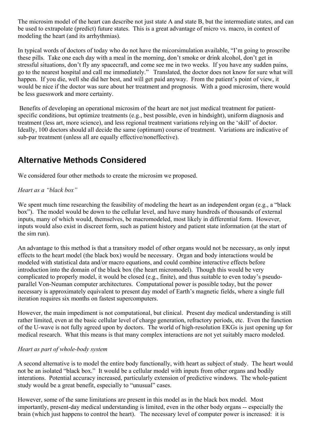The microsim model of the heart can describe not just state A and state B, but the intermediate states, and can be used to extrapolate (predict) future states. This is a great advantage of micro vs. macro, in context of modeling the heart (and its arrhythmias).

In typical words of doctors of today who do not have the micorsimulation available, "I'm going to proscribe these pills. Take one each day with a meal in the morning, don't smoke or drink alcohol, don't get in stressful situations, don't fly any spacecraft, and come see me in two weeks. If you have any sudden pains, go to the nearest hospital and call me immediately." Translated, the doctor does not know for sure what will happen. If you die, well she did her best, and will get paid anyway. From the patient's point of view, it would be nice if the doctor was sure about her treatment and prognosis. With a good microsim, there would be less guesswork and more certainty.

 Benefits of developing an operational microsim of the heart are not just medical treatment for patientspecific conditions, but optimize treatments (e.g., best possible, even in hindsight), uniform diagnosis and treatment (less art, more science), and less regional treatment variations relying on the 'skill' of doctor. Ideally, 100 doctors should all decide the same (optimum) course of treatment. Variations are indicative of sub-par treatment (unless all are equally effective/noneffective).

# **Alternative Methods Considered**

We considered four other methods to create the microsim we proposed.

## *Heart as a "black box"*

We spent much time researching the feasibility of modeling the heart as an independent organ (e.g., a "black") box"). The model would be down to the cellular level, and have many hundreds of thousands of external inputs, many of which would, themselves, be macromodeled, most likely in differential form. However, inputs would also exist in discreet form, such as patient history and patient state information (at the start of the sim run).

An advantage to this method is that a transitory model of other organs would not be necessary, as only input effects to the heart model (the black box) would be necessary. Organ and body interactions would be modeled with statistical data and/or macro equations, and could combine interactive effects before introduction into the domain of the black box (the heart micromodel). Though this would be very complicated to properly model, it would be closed (e.g., finite), and thus suitable to even today's pseudoparallel Von-Neuman computer architectures. Computational power is possible today, but the power necessary is approximately equivalent to present day model of Earth's magnetic fields, where a single full iteration requires six months on fastest supercomputers.

However, the main impediment is not computational, but clinical. Present day medical understanding is still rather limited, even at the basic cellular level of charge generation, refractory periods, etc. Even the function of the U-wave is not fully agreed upon by doctors. The world of high-resolution EKGs is just opening up for medical research. What this means is that many complex interactions are not yet suitably macro modeled.

## *Heart as part of whole-body system*

A second alternative is to model the entire body functionally, with heart as subject of study. The heart would not be an isolated "black box." It would be a cellular model with inputs from other organs and bodily interations. Potential accuracy increased, particularly extension of predictive windows. The whole-patient study would be a great benefit, especially to "unusual" cases.

However, some of the same limitations are present in this model as in the black box model. Most importantly, present-day medical understanding is limited, even in the other body organs -- especially the brain (which just happens to control the heart). The necessary level of computer power is increased: it is